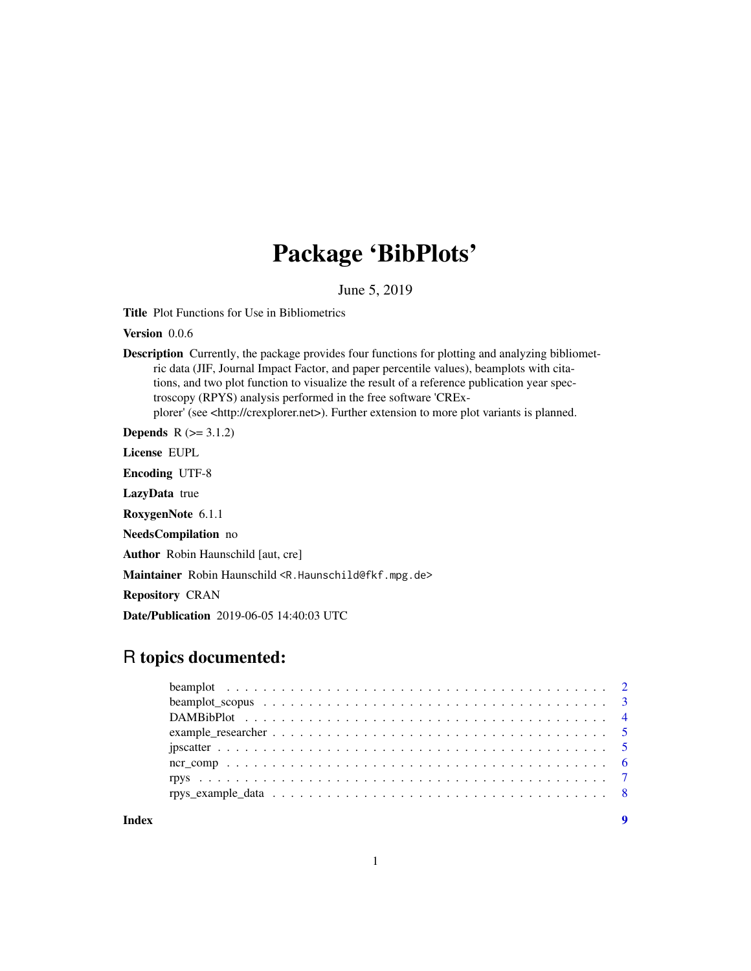## Package 'BibPlots'

June 5, 2019

<span id="page-0-0"></span>Title Plot Functions for Use in Bibliometrics

Version 0.0.6

Description Currently, the package provides four functions for plotting and analyzing bibliometric data (JIF, Journal Impact Factor, and paper percentile values), beamplots with citations, and two plot function to visualize the result of a reference publication year spectroscopy (RPYS) analysis performed in the free software 'CRExplorer' (see <http://crexplorer.net>). Further extension to more plot variants is planned.

**Depends**  $R$  ( $> = 3.1.2$ )

License EUPL

Encoding UTF-8

LazyData true

RoxygenNote 6.1.1

NeedsCompilation no

Author Robin Haunschild [aut, cre]

Maintainer Robin Haunschild <R.Haunschild@fkf.mpg.de>

Repository CRAN

Date/Publication 2019-06-05 14:40:03 UTC

### R topics documented:

| Index | $\mathbf Q$ |
|-------|-------------|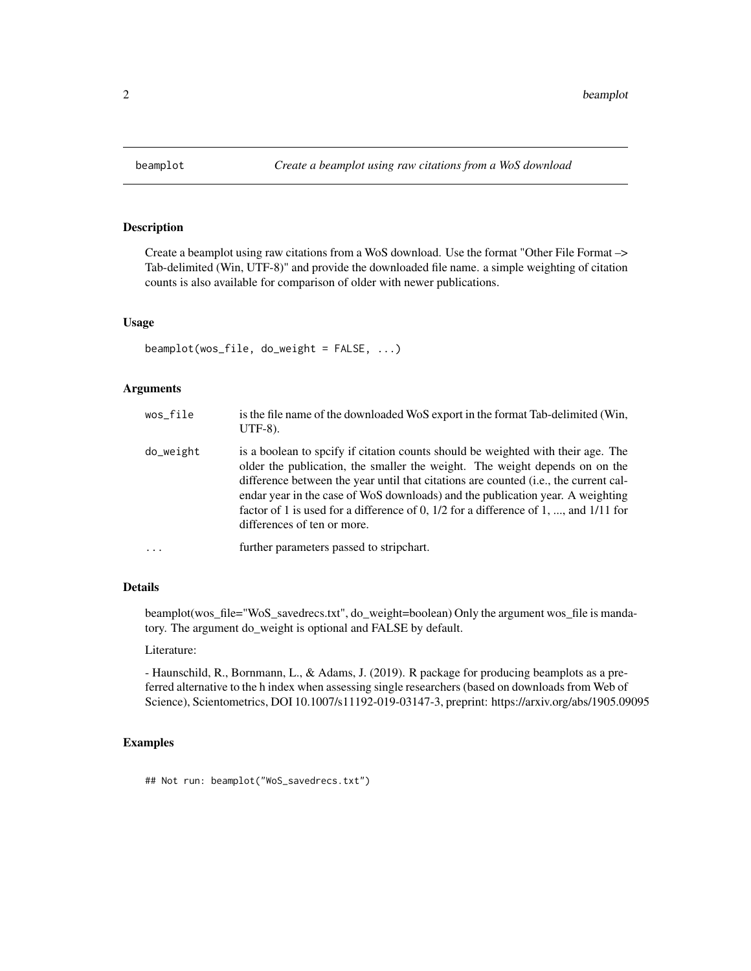<span id="page-1-0"></span>

#### Description

Create a beamplot using raw citations from a WoS download. Use the format "Other File Format –> Tab-delimited (Win, UTF-8)" and provide the downloaded file name. a simple weighting of citation counts is also available for comparison of older with newer publications.

#### Usage

```
beamplot(wos_file, do_weight = FALSE, \ldots)
```
#### Arguments

| wos_file  | is the file name of the downloaded WoS export in the format Tab-delimited (Win,<br>$UTF-8$ ).                                                                                                                                                                                                                                                                                                                                                                         |
|-----------|-----------------------------------------------------------------------------------------------------------------------------------------------------------------------------------------------------------------------------------------------------------------------------------------------------------------------------------------------------------------------------------------------------------------------------------------------------------------------|
| do_weight | is a boolean to specify if citation counts should be weighted with their age. The<br>older the publication, the smaller the weight. The weight depends on on the<br>difference between the year until that citations are counted (i.e., the current cal-<br>endar year in the case of WoS downloads) and the publication year. A weighting<br>factor of 1 is used for a difference of 0, $1/2$ for a difference of 1, , and $1/11$ for<br>differences of ten or more. |
| $\cdots$  | further parameters passed to stripchart.                                                                                                                                                                                                                                                                                                                                                                                                                              |

#### Details

beamplot(wos\_file="WoS\_savedrecs.txt", do\_weight=boolean) Only the argument wos\_file is mandatory. The argument do\_weight is optional and FALSE by default.

#### Literature:

- Haunschild, R., Bornmann, L., & Adams, J. (2019). R package for producing beamplots as a preferred alternative to the h index when assessing single researchers (based on downloads from Web of Science), Scientometrics, DOI 10.1007/s11192-019-03147-3, preprint: https://arxiv.org/abs/1905.09095

#### Examples

## Not run: beamplot("WoS\_savedrecs.txt")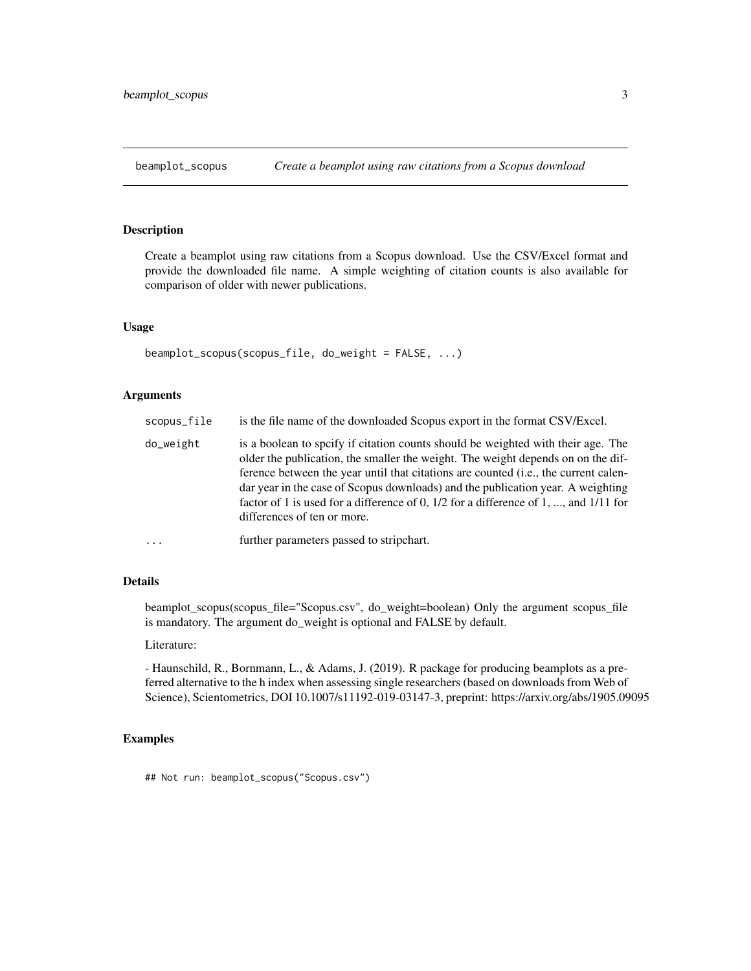#### <span id="page-2-0"></span>Description

Create a beamplot using raw citations from a Scopus download. Use the CSV/Excel format and provide the downloaded file name. A simple weighting of citation counts is also available for comparison of older with newer publications.

#### Usage

```
beamplot_scopus(scopus_file, do_weight = FALSE, ...)
```
#### Arguments

| scopus_file | is the file name of the downloaded Scopus export in the format CSV/Excel.                                                                                                                                                                                                                                                                                                                                                                                              |
|-------------|------------------------------------------------------------------------------------------------------------------------------------------------------------------------------------------------------------------------------------------------------------------------------------------------------------------------------------------------------------------------------------------------------------------------------------------------------------------------|
| do_weight   | is a boolean to specify if citation counts should be weighted with their age. The<br>older the publication, the smaller the weight. The weight depends on on the dif-<br>ference between the year until that citations are counted (i.e., the current calen-<br>dar year in the case of Scopus downloads) and the publication year. A weighting<br>factor of 1 is used for a difference of 0, 1/2 for a difference of 1, , and 1/11 for<br>differences of ten or more. |
| $\cdots$    | further parameters passed to stripchart.                                                                                                                                                                                                                                                                                                                                                                                                                               |

#### Details

beamplot\_scopus(scopus\_file="Scopus.csv", do\_weight=boolean) Only the argument scopus\_file is mandatory. The argument do\_weight is optional and FALSE by default.

#### Literature:

- Haunschild, R., Bornmann, L., & Adams, J. (2019). R package for producing beamplots as a preferred alternative to the h index when assessing single researchers (based on downloads from Web of Science), Scientometrics, DOI 10.1007/s11192-019-03147-3, preprint: https://arxiv.org/abs/1905.09095

#### Examples

## Not run: beamplot\_scopus("Scopus.csv")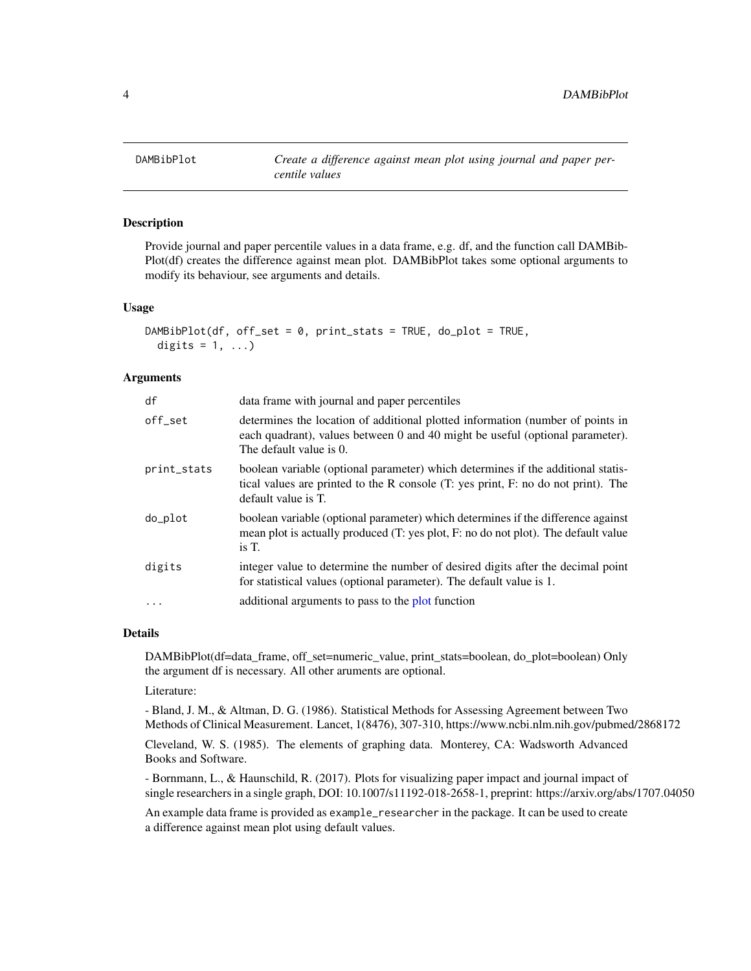<span id="page-3-0"></span>

#### Description

Provide journal and paper percentile values in a data frame, e.g. df, and the function call DAMBib-Plot(df) creates the difference against mean plot. DAMBibPlot takes some optional arguments to modify its behaviour, see arguments and details.

#### Usage

```
DAMBibPlot(df, off_set = 0, print_stats = TRUE, do_plot = TRUE,
 digits = 1, ...)
```
#### **Arguments**

| df          | data frame with journal and paper percentiles                                                                                                                                                |
|-------------|----------------------------------------------------------------------------------------------------------------------------------------------------------------------------------------------|
| off_set     | determines the location of additional plotted information (number of points in<br>each quadrant), values between 0 and 40 might be useful (optional parameter).<br>The default value is 0.   |
| print_stats | boolean variable (optional parameter) which determines if the additional statis-<br>tical values are printed to the R console (T: yes print, F: no do not print). The<br>default value is T. |
| do_plot     | boolean variable (optional parameter) which determines if the difference against<br>mean plot is actually produced (T: yes plot, F: no do not plot). The default value<br>is T.              |
| digits      | integer value to determine the number of desired digits after the decimal point<br>for statistical values (optional parameter). The default value is 1.                                      |
| $\cdot$     | additional arguments to pass to the plot function                                                                                                                                            |

#### Details

DAMBibPlot(df=data\_frame, off\_set=numeric\_value, print\_stats=boolean, do\_plot=boolean) Only the argument df is necessary. All other aruments are optional.

Literature:

- Bland, J. M., & Altman, D. G. (1986). Statistical Methods for Assessing Agreement between Two Methods of Clinical Measurement. Lancet, 1(8476), 307-310, https://www.ncbi.nlm.nih.gov/pubmed/2868172 Cleveland, W. S. (1985). The elements of graphing data. Monterey, CA: Wadsworth Advanced Books and Software.

- Bornmann, L., & Haunschild, R. (2017). Plots for visualizing paper impact and journal impact of single researchers in a single graph, DOI: 10.1007/s11192-018-2658-1, preprint: https://arxiv.org/abs/1707.04050

An example data frame is provided as example\_researcher in the package. It can be used to create a difference against mean plot using default values.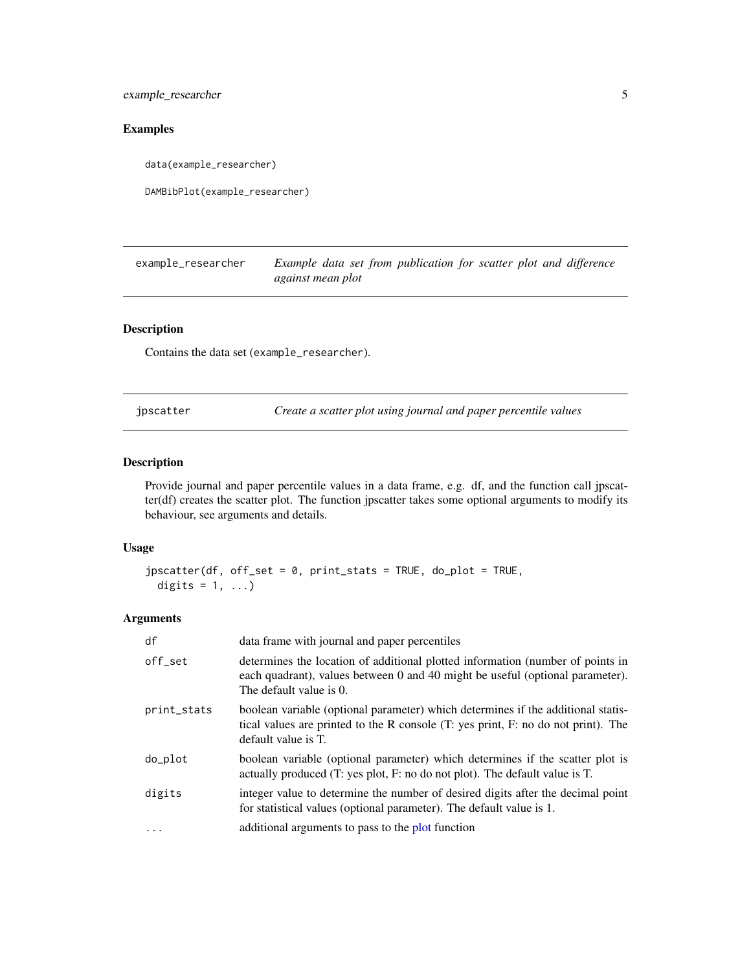<span id="page-4-0"></span>example\_researcher 5

#### Examples

data(example\_researcher)

DAMBibPlot(example\_researcher)

example\_researcher *Example data set from publication for scatter plot and difference against mean plot*

#### Description

Contains the data set (example\_researcher).

jpscatter *Create a scatter plot using journal and paper percentile values*

#### Description

Provide journal and paper percentile values in a data frame, e.g. df, and the function call jpscatter(df) creates the scatter plot. The function jpscatter takes some optional arguments to modify its behaviour, see arguments and details.

#### Usage

```
jpscatter(df, off_set = 0, print_stats = TRUE, do_plot = TRUE,
digits = 1, ...)
```
#### Arguments

| df          | data frame with journal and paper percentiles                                                                                                                                                |
|-------------|----------------------------------------------------------------------------------------------------------------------------------------------------------------------------------------------|
| off set     | determines the location of additional plotted information (number of points in<br>each quadrant), values between 0 and 40 might be useful (optional parameter).<br>The default value is 0.   |
| print_stats | boolean variable (optional parameter) which determines if the additional statis-<br>tical values are printed to the R console (T: yes print, F: no do not print). The<br>default value is T. |
| do_plot     | boolean variable (optional parameter) which determines if the scatter plot is<br>actually produced (T: yes plot, F: no do not plot). The default value is T.                                 |
| digits      | integer value to determine the number of desired digits after the decimal point<br>for statistical values (optional parameter). The default value is 1.                                      |
| .           | additional arguments to pass to the plot function                                                                                                                                            |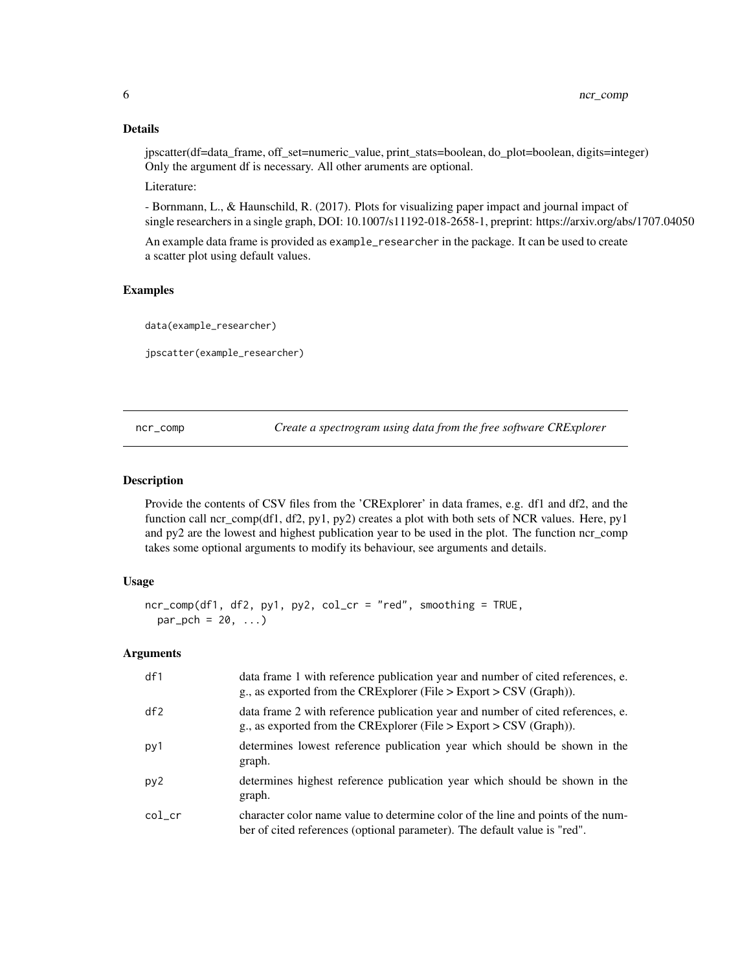#### Details

jpscatter(df=data\_frame, off\_set=numeric\_value, print\_stats=boolean, do\_plot=boolean, digits=integer) Only the argument df is necessary. All other aruments are optional.

Literature:

- Bornmann, L., & Haunschild, R. (2017). Plots for visualizing paper impact and journal impact of single researchers in a single graph, DOI: 10.1007/s11192-018-2658-1, preprint: https://arxiv.org/abs/1707.04050

An example data frame is provided as example\_researcher in the package. It can be used to create a scatter plot using default values.

#### Examples

data(example\_researcher)

jpscatter(example\_researcher)

ncr\_comp *Create a spectrogram using data from the free software CRExplorer*

#### Description

Provide the contents of CSV files from the 'CRExplorer' in data frames, e.g. df1 and df2, and the function call ncr\_comp(df1, df2, py1, py2) creates a plot with both sets of NCR values. Here, py1 and py2 are the lowest and highest publication year to be used in the plot. The function ncr\_comp takes some optional arguments to modify its behaviour, see arguments and details.

#### Usage

```
ncr_comp(df1, df2, py1, py2, col_cr = "red", smoothing = TRUE,
par\_pch = 20, ...
```
#### Arguments

| df1             | data frame 1 with reference publication year and number of cited references, e.<br>g., as exported from the CRExplorer (File $>$ Export $>$ CSV (Graph)).     |
|-----------------|---------------------------------------------------------------------------------------------------------------------------------------------------------------|
| df2             | data frame 2 with reference publication year and number of cited references, e.<br>g., as exported from the CRExplorer (File $>$ Export $>$ CSV (Graph)).     |
| py1             | determines lowest reference publication year which should be shown in the<br>graph.                                                                           |
| py <sub>2</sub> | determines highest reference publication year which should be shown in the<br>graph.                                                                          |
| $col\_cr$       | character color name value to determine color of the line and points of the num-<br>ber of cited references (optional parameter). The default value is "red". |

<span id="page-5-0"></span>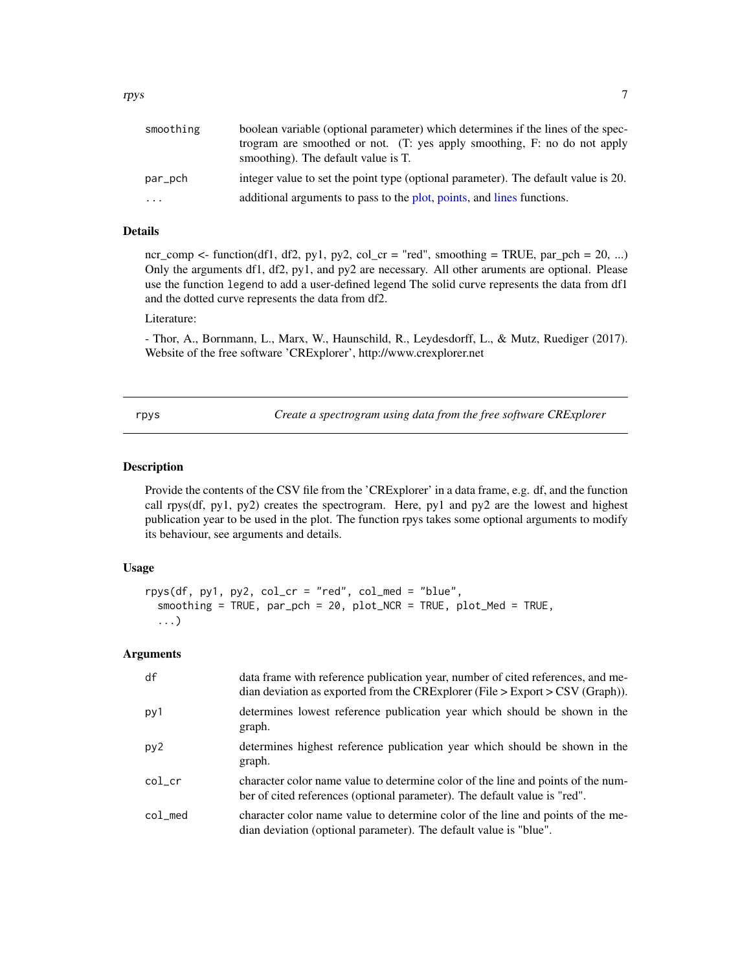<span id="page-6-0"></span>

| smoothing | boolean variable (optional parameter) which determines if the lines of the spec-<br>trogram are smoothed or not. (T: yes apply smoothing, F: no do not apply |
|-----------|--------------------------------------------------------------------------------------------------------------------------------------------------------------|
|           | smoothing). The default value is T.                                                                                                                          |
| par_pch   | integer value to set the point type (optional parameter). The default value is 20.                                                                           |
| $\cdots$  | additional arguments to pass to the plot, points, and lines functions.                                                                                       |

#### Details

ncr\_comp <- function(df1, df2, py1, py2, col\_cr = "red", smoothing = TRUE, par\_pch = 20, ...) Only the arguments df1, df2, py1, and py2 are necessary. All other aruments are optional. Please use the function legend to add a user-defined legend The solid curve represents the data from df1 and the dotted curve represents the data from df2.

#### Literature:

- Thor, A., Bornmann, L., Marx, W., Haunschild, R., Leydesdorff, L., & Mutz, Ruediger (2017). Website of the free software 'CRExplorer', http://www.crexplorer.net

rpys *Create a spectrogram using data from the free software CRExplorer*

#### Description

Provide the contents of the CSV file from the 'CRExplorer' in a data frame, e.g. df, and the function call rpys(df, py1, py2) creates the spectrogram. Here, py1 and py2 are the lowest and highest publication year to be used in the plot. The function rpys takes some optional arguments to modify its behaviour, see arguments and details.

#### Usage

```
rpys(df, py1, py2, col_cr = "red", col_med = "blue",
 smoothing = TRUE, par_pch = 20, plot_NCR = TRUE, plot_Med = TRUE,
 ...)
```
#### Arguments

| df      | data frame with reference publication year, number of cited references, and me-<br>dian deviation as exported from the CRExplorer (File $>$ Export $>$ CSV (Graph)). |
|---------|----------------------------------------------------------------------------------------------------------------------------------------------------------------------|
| py1     | determines lowest reference publication year which should be shown in the<br>graph.                                                                                  |
| py2     | determines highest reference publication year which should be shown in the<br>graph.                                                                                 |
| col_cr  | character color name value to determine color of the line and points of the num-<br>ber of cited references (optional parameter). The default value is "red".        |
| col_med | character color name value to determine color of the line and points of the me-<br>dian deviation (optional parameter). The default value is "blue".                 |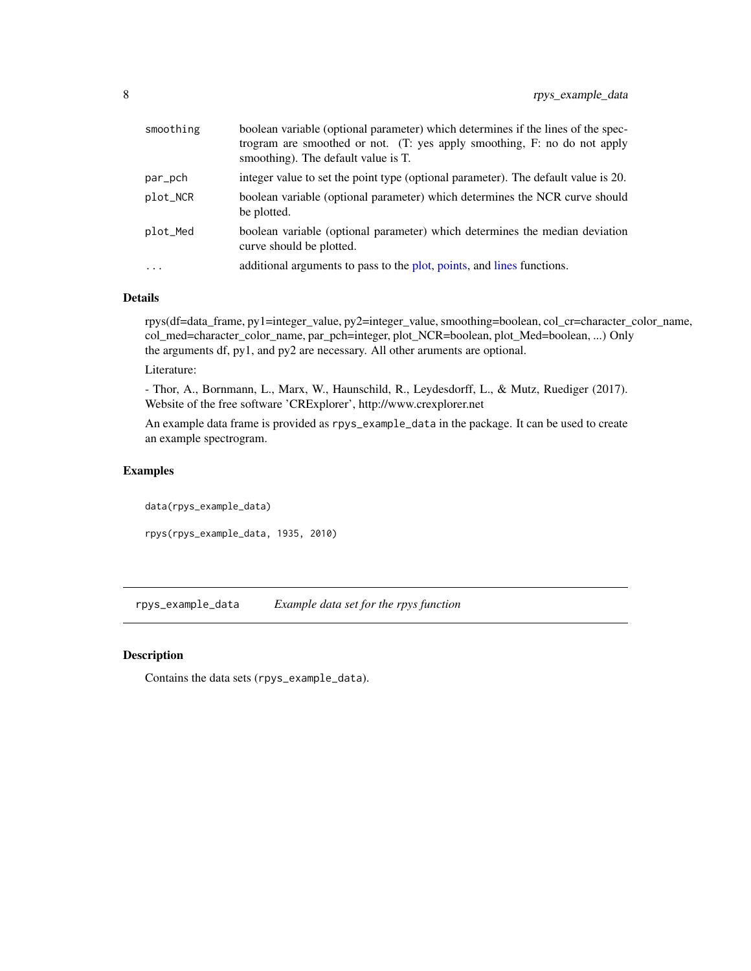<span id="page-7-0"></span>

| smoothing | boolean variable (optional parameter) which determines if the lines of the spec-<br>trogram are smoothed or not. (T: yes apply smoothing, F: no do not apply<br>smoothing). The default value is T. |
|-----------|-----------------------------------------------------------------------------------------------------------------------------------------------------------------------------------------------------|
| par_pch   | integer value to set the point type (optional parameter). The default value is 20.                                                                                                                  |
| plot_NCR  | boolean variable (optional parameter) which determines the NCR curve should<br>be plotted.                                                                                                          |
| plot_Med  | boolean variable (optional parameter) which determines the median deviation<br>curve should be plotted.                                                                                             |
| $\cdots$  | additional arguments to pass to the plot, points, and lines functions.                                                                                                                              |

#### Details

rpys(df=data\_frame, py1=integer\_value, py2=integer\_value, smoothing=boolean, col\_cr=character\_color\_name, col\_med=character\_color\_name, par\_pch=integer, plot\_NCR=boolean, plot\_Med=boolean, ...) Only the arguments df, py1, and py2 are necessary. All other aruments are optional.

#### Literature:

- Thor, A., Bornmann, L., Marx, W., Haunschild, R., Leydesdorff, L., & Mutz, Ruediger (2017). Website of the free software 'CRExplorer', http://www.crexplorer.net

An example data frame is provided as rpys\_example\_data in the package. It can be used to create an example spectrogram.

#### Examples

data(rpys\_example\_data) rpys(rpys\_example\_data, 1935, 2010)

rpys\_example\_data *Example data set for the rpys function*

#### Description

Contains the data sets (rpys\_example\_data).